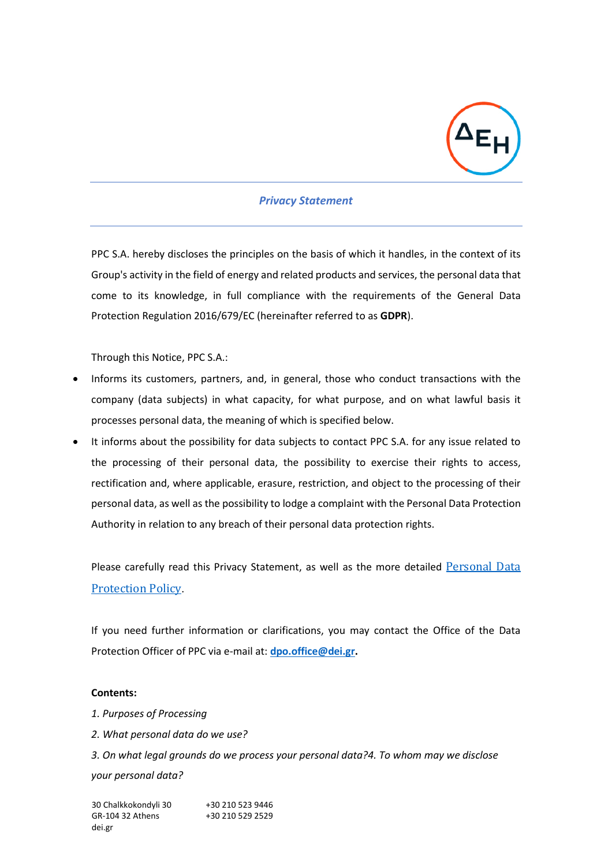

## *Privacy Statement*

PPC S.A. hereby discloses the principles on the basis of which it handles, in the context of its Group's activity in the field of energy and related products and services, the personal data that come to its knowledge, in full compliance with the requirements of the General Data Protection Regulation 2016/679/EC (hereinafter referred to as **GDPR**).

Through this Notice, PPC S.A.:

- Informs its customers, partners, and, in general, those who conduct transactions with the company (data subjects) in what capacity, for what purpose, and on what lawful basis it processes personal data, the meaning of which is specified below.
- It informs about the possibility for data subjects to contact PPC S.A. for any issue related to the processing of their personal data, the possibility to exercise their rights to access, rectification and, where applicable, erasure, restriction, and object to the processing of their personal data, as well as the possibility to lodge a complaint with the Personal Data Protection Authority in relation to any breach of their personal data protection rights.

Please carefully read this Privacy Statement, as well as the more detailed Personal Data [Protection Policy](https://www.dei.gr/media/bvblujo0/personal-data-protection-policy-en.pdf).

If you need further information or clarifications, you may contact the Office of the Data Protection Officer of PPC via e-mail at: **[dpo.office@dei.gr.](mailto:dpo.office@dei.gr)**

## **Contents:**

- *1. Purposes of Processing*
- *2. What personal data do we use?*

*3. On what legal grounds do we process your personal data?4. To whom may we disclose your personal data?*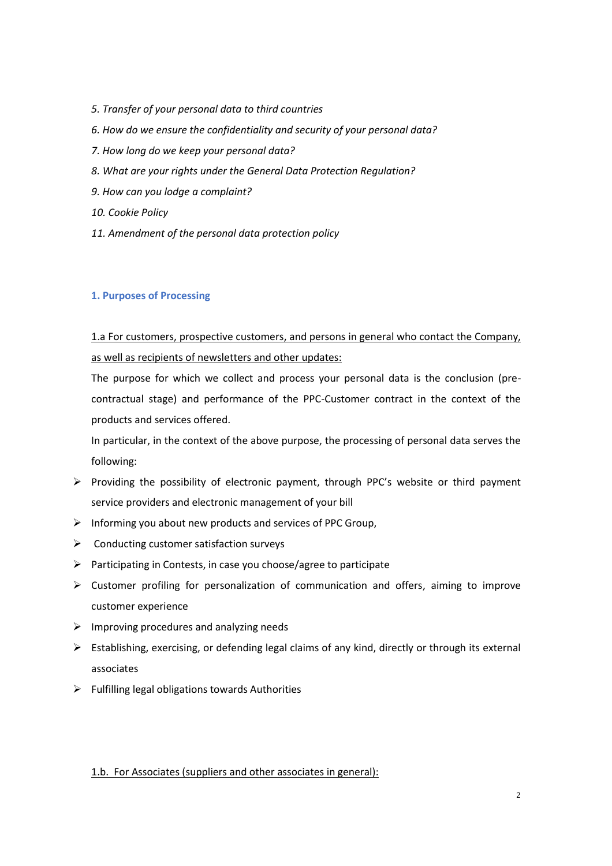- *5. Transfer of your personal data to third countries*
- *6. How do we ensure the confidentiality and security of your personal data?*
- *7. How long do we keep your personal data?*
- *8. What are your rights under the General Data Protection Regulation?*
- *9. How can you lodge a complaint?*
- *10. Cookie Policy*
- *11. Amendment of the personal data protection policy*

## **1. Purposes of Processing**

1.a For customers, prospective customers, and persons in general who contact the Company, as well as recipients of newsletters and other updates:

The purpose for which we collect and process your personal data is the conclusion (precontractual stage) and performance of the PPC-Customer contract in the context of the products and services offered.

In particular, in the context of the above purpose, the processing of personal data serves the following:

- ➢ Providing the possibility of electronic payment, through PPC's website or third payment service providers and electronic management of your bill
- ➢ Informing you about new products and services of PPC Group,
- ➢ Conducting customer satisfaction surveys
- ➢ Participating in Contests, in case you choose/agree to participate
- $\triangleright$  Customer profiling for personalization of communication and offers, aiming to improve customer experience
- $\triangleright$  Improving procedures and analyzing needs
- $\triangleright$  Establishing, exercising, or defending legal claims of any kind, directly or through its external associates
- $\triangleright$  Fulfilling legal obligations towards Authorities

## 1.b. For Associates (suppliers and other associates in general):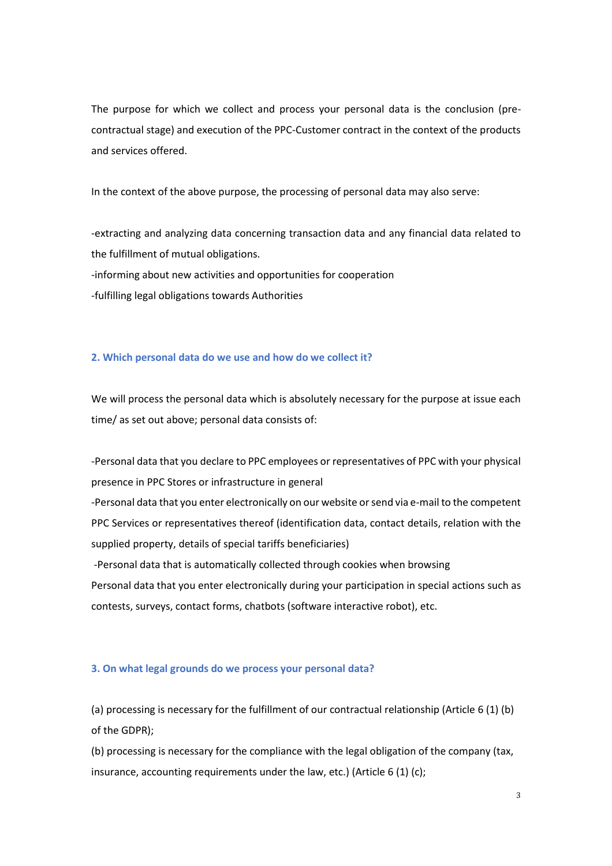The purpose for which we collect and process your personal data is the conclusion (precontractual stage) and execution of the PPC-Customer contract in the context of the products and services offered.

In the context of the above purpose, the processing of personal data may also serve:

-extracting and analyzing data concerning transaction data and any financial data related to the fulfillment of mutual obligations. -informing about new activities and opportunities for cooperation -fulfilling legal obligations towards Authorities

## **2. Which personal data do we use and how do we collect it?**

We will process the personal data which is absolutely necessary for the purpose at issue each time/ as set out above; personal data consists of:

-Personal data that you declare to PPC employees or representatives of PPC with your physical presence in PPC Stores or infrastructure in general

-Personal data that you enter electronically on our website or send via e-mail to the competent PPC Services or representatives thereof (identification data, contact details, relation with the supplied property, details of special tariffs beneficiaries)

-Personal data that is automatically collected through cookies when browsing Personal data that you enter electronically during your participation in special actions such as contests, surveys, contact forms, chatbots (software interactive robot), etc.

#### **3. On what legal grounds do we process your personal data?**

(a) processing is necessary for the fulfillment of our contractual relationship (Article 6 (1) (b) of the GDPR);

(b) processing is necessary for the compliance with the legal obligation of the company (tax, insurance, accounting requirements under the law, etc.) (Article 6 (1) (c);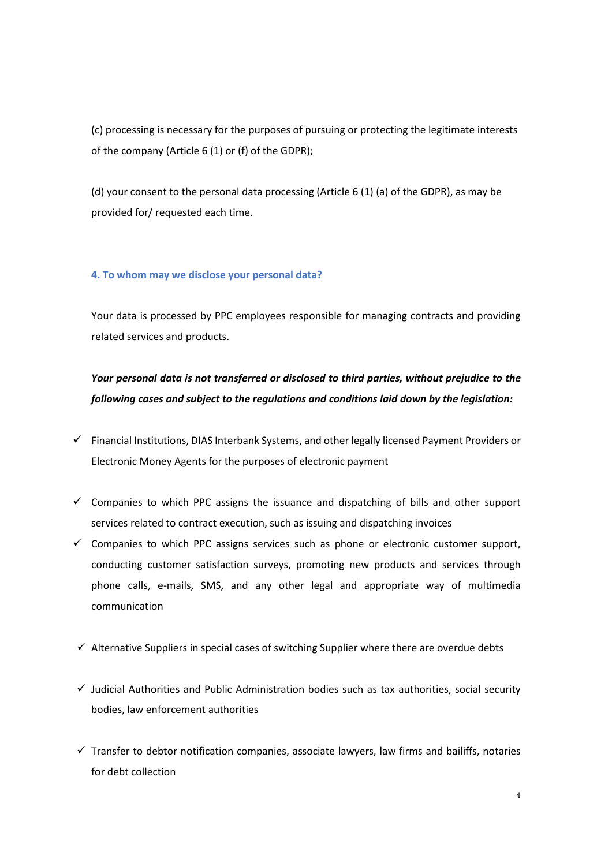(c) processing is necessary for the purposes of pursuing or protecting the legitimate interests of the company (Article 6 (1) or (f) of the GDPR);

(d) your consent to the personal data processing (Article 6 (1) (a) of the GDPR), as may be provided for/ requested each time.

## **4. To whom may we disclose your personal data?**

Your data is processed by PPC employees responsible for managing contracts and providing related services and products.

# *Your personal data is not transferred or disclosed to third parties, without prejudice to the following cases and subject to the regulations and conditions laid down by the legislation:*

- ✓ Financial Institutions, DIAS Interbank Systems, and other legally licensed Payment Providers or Electronic Money Agents for the purposes of electronic payment
- $\checkmark$  Companies to which PPC assigns the issuance and dispatching of bills and other support services related to contract execution, such as issuing and dispatching invoices
- $\checkmark$  Companies to which PPC assigns services such as phone or electronic customer support, conducting customer satisfaction surveys, promoting new products and services through phone calls, e-mails, SMS, and any other legal and appropriate way of multimedia communication
- $\checkmark$  Alternative Suppliers in special cases of switching Supplier where there are overdue debts
- $\checkmark$  Judicial Authorities and Public Administration bodies such as tax authorities, social security bodies, law enforcement authorities
- $\checkmark$  Transfer to debtor notification companies, associate lawyers, law firms and bailiffs, notaries for debt collection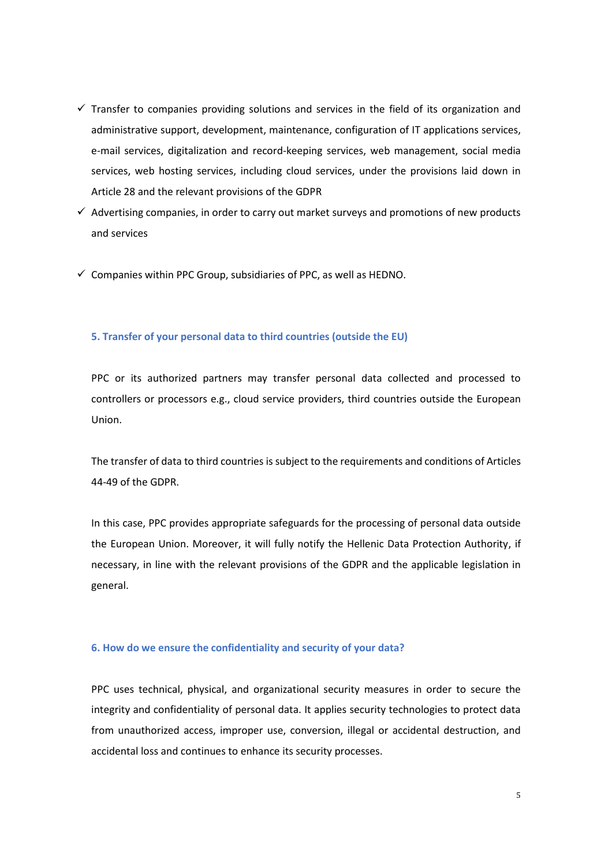- $\checkmark$  Transfer to companies providing solutions and services in the field of its organization and administrative support, development, maintenance, configuration of IT applications services, e-mail services, digitalization and record-keeping services, web management, social media services, web hosting services, including cloud services, under the provisions laid down in Article 28 and the relevant provisions of the GDPR
- $\checkmark$  Advertising companies, in order to carry out market surveys and promotions of new products and services
- $\checkmark$  Companies within PPC Group, subsidiaries of PPC, as well as HEDNO.

## **5. Transfer of your personal data to third countries (outside the EU)**

PPC or its authorized partners may transfer personal data collected and processed to controllers or processors e.g., cloud service providers, third countries outside the European Union.

The transfer of data to third countries is subject to the requirements and conditions of Articles 44-49 of the GDPR.

In this case, PPC provides appropriate safeguards for the processing of personal data outside the European Union. Moreover, it will fully notify the Hellenic Data Protection Authority, if necessary, in line with the relevant provisions of the GDPR and the applicable legislation in general.

## **6. How do we ensure the confidentiality and security of your data?**

PPC uses technical, physical, and organizational security measures in order to secure the integrity and confidentiality of personal data. It applies security technologies to protect data from unauthorized access, improper use, conversion, illegal or accidental destruction, and accidental loss and continues to enhance its security processes.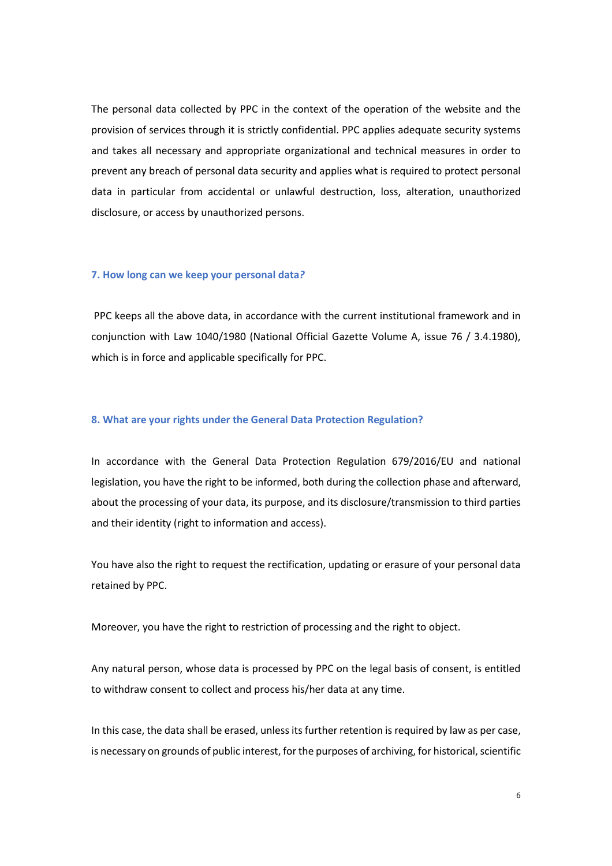The personal data collected by PPC in the context of the operation of the website and the provision of services through it is strictly confidential. PPC applies adequate security systems and takes all necessary and appropriate organizational and technical measures in order to prevent any breach of personal data security and applies what is required to protect personal data in particular from accidental or unlawful destruction, loss, alteration, unauthorized disclosure, or access by unauthorized persons.

#### **7. How long can we keep your personal data***?*

PPC keeps all the above data, in accordance with the current institutional framework and in conjunction with Law 1040/1980 (National Official Gazette Volume A, issue 76 / 3.4.1980), which is in force and applicable specifically for PPC.

#### **8. What are your rights under the General Data Protection Regulation?**

In accordance with the General Data Protection Regulation 679/2016/EU and national legislation, you have the right to be informed, both during the collection phase and afterward, about the processing of your data, its purpose, and its disclosure/transmission to third parties and their identity (right to information and access).

You have also the right to request the rectification, updating or erasure of your personal data retained by PPC.

Moreover, you have the right to restriction of processing and the right to object.

Any natural person, whose data is processed by PPC on the legal basis of consent, is entitled to withdraw consent to collect and process his/her data at any time.

In this case, the data shall be erased, unless its further retention is required by law as per case, is necessary on grounds of public interest, for the purposes of archiving, for historical, scientific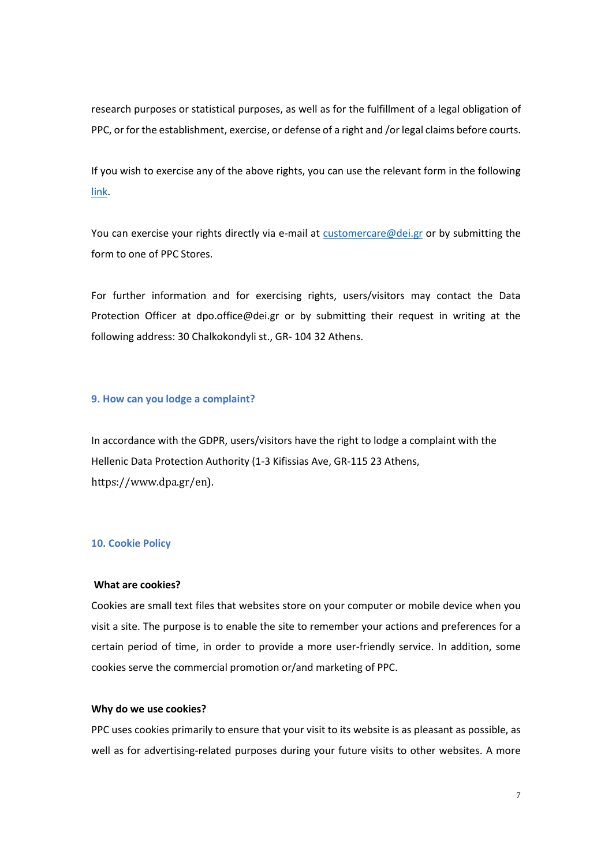research purposes or statistical purposes, as well as for the fulfillment of a legal obligation of PPC, or for the establishment, exercise, or defense of a right and /or legal claims before courts.

If you wish to exercise any of the above rights, you can use the relevant form in the following [link.](https://www.dei.gr/media/q2knvmgx/entupo-askhshs-dikaiomaton-deh-26112021-en.pdf)

You can exercise your rights directly via e-mail at [customercare@dei.gr](mailto:customercare@dei.gr) or by submitting the form to one of PPC Stores.

For further information and for exercising rights, users/visitors may contact the Data Protection Officer at dpo.office@dei.gr or by submitting their request in writing at the following address: 30 Chalkokondyli st., GR- 104 32 Athens.

## **9. How can you lodge a complaint?**

In accordance with the GDPR, users/visitors have the right to lodge a complaint with the Hellenic Data Protection Authority (1-3 Kifissias Ave, GR-115 23 Athens, https://www.dpa.gr/en).

#### **10. Cookie Policy**

## **What are cookies?**

Cookies are small text files that websites store on your computer or mobile device when you visit a site. The purpose is to enable the site to remember your actions and preferences for a certain period of time, in order to provide a more user-friendly service. In addition, some cookies serve the commercial promotion or/and marketing of PPC.

### **Why do we use cookies?**

PPC uses cookies primarily to ensure that your visit to its website is as pleasant as possible, as well as for advertising-related purposes during your future visits to other websites. A more